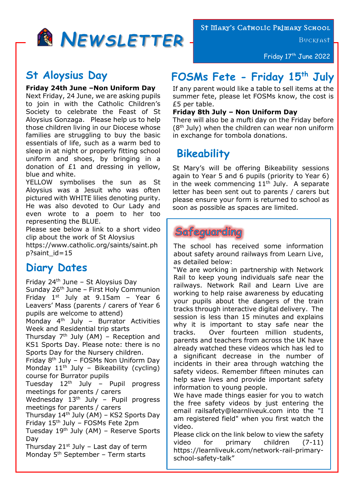

St Mary's Catholic Primary School

**BUCKFAST** 

Friday 17<sup>th</sup> June 2022

## **St Aloysius Day**

#### **Friday 24th June –Non Uniform Day**

Next Friday, 24 June, we are asking pupils to join in with the Catholic Children's Society to celebrate the Feast of St Aloysius Gonzaga. Please help us to help those children living in our Diocese whose families are struggling to buy the basic essentials of life, such as a warm bed to sleep in at night or properly fitting school uniform and shoes, by bringing in a donation of £1 and dressing in yellow, blue and white.

YELLOW symbolises the sun as St Aloysius was a Jesuit who was often pictured with WHITE lilies denoting purity. He was also devoted to Our Lady and even wrote to a poem to her too representing the BLUE.

Please see below a link to a short video clip about the work of St Aloysius

https://www.catholic.org/saints/saint.ph p?saint\_id=15

# **Diary Dates**

Friday  $24<sup>th</sup>$  June – St Aloysius Day Sunday  $26<sup>th</sup>$  June – First Holy Communion Friday  $1<sup>st</sup>$  July at 9.15am - Year 6 Leavers' Mass (parents / carers of Year 6 pupils are welcome to attend) Monday  $4<sup>th</sup>$  July – Burrator Activities Week and Residential trip starts Thursday  $7<sup>th</sup>$  July (AM) – Reception and KS1 Sports Day. Please note: there is no Sports Day for the Nursery children. Friday 8th July – FOSMs Non Uniform Day

Monday  $11<sup>th</sup>$  July – Bikeability (cycling) course for Burrator pupils

Tuesday 12<sup>th</sup> July - Pupil progress meetings for parents / carers

Wednesday  $13<sup>th</sup>$  July – Pupil progress meetings for parents / carers

Thursday 14th July (AM) – KS2 Sports Day Friday 15th July – FOSMs Fete 2pm

Tuesday  $19<sup>th</sup>$  July (AM) – Reserve Sports Day

Thursday  $21^{st}$  July – Last day of term Monday 5<sup>th</sup> September - Term starts

# **FOSMs Fete - Friday 15th July**

If any parent would like a table to sell items at the summer fete, please let FOSMs know, the cost is £5 per table.

#### **Friday 8th July – Non Uniform Day**

There will also be a mufti day on the Friday before  $(8<sup>th</sup>$  July) when the children can wear non uniform in exchange for tombola donations.

# **Bikeability**

St Mary's will be offering Bikeability sessions again to Year 5 and 6 pupils (priority to Year 6) in the week commencing  $11<sup>th</sup>$  July. A separate letter has been sent out to parents / carers but please ensure your form is returned to school as soon as possible as spaces are limited.

## Safeguarding

The school has received some information about safety around railways from Learn Live, as detailed below:

"We are working in partnership with Network Rail to keep young individuals safe near the railways. Network Rail and Learn Live are working to help raise awareness by educating your pupils about the dangers of the train tracks through interactive digital delivery. The session is less than 15 minutes and explains why it is important to stay safe near the tracks. Over fourteen million students, parents and teachers from across the UK have already watched these videos which has led to a significant decrease in the number of incidents in their area through watching the safety videos. Remember fifteen minutes can help save lives and provide important safety information to young people.

We have made things easier for you to watch the free safety videos by just entering the email railsafety@learnliveuk.com into the "I am registered field" when you first watch the video.

Please click on the link below to view the safety video for primary children (7-11) https://learnliveuk.com/network-rail-primaryschool-safety-talk"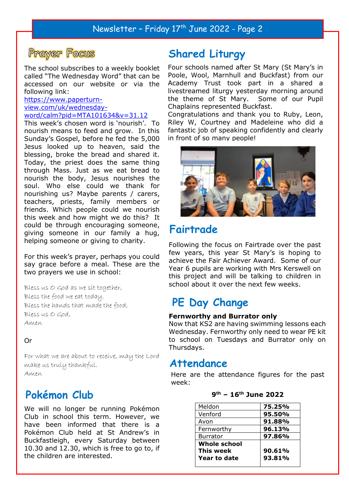

The school subscribes to a weekly booklet called "The Wednesday Word" that can be accessed on our website or via the following link:

#### https://www.paperturn-

```
view.com/uk/wednesday-
word/calm?pid=MTA101634&v=31.12
```
This week's chosen word is 'nourish'. To nourish means to feed and grow. In this Sunday's Gospel, before he fed the 5,000 Jesus looked up to heaven, said the blessing, broke the bread and shared it. Today, the priest does the same thing through Mass. Just as we eat bread to nourish the body, Jesus nourishes the soul. Who else could we thank for nourishing us? Maybe parents / carers, teachers, priests, family members or friends. Which people could we nourish this week and how might we do this? It could be through encouraging someone, giving someone in our family a hug, helping someone or giving to charity.

For this week's prayer, perhaps you could say grace before a meal. These are the two prayers we use in school:

Bless us O God as we sit together, Bless the food we eat today. Bless the hands that made the food, Bless us O God, Amen

#### Or

For what we are about to receive, may the Lord make us truly thankful. Amen

## **Pokémon Club**

We will no longer be running Pokémon Club in school this term. However, we have been informed that there is a Pokémon Club held at St Andrew's in Buckfastleigh, every Saturday between 10.30 and 12.30, which is free to go to, if the children are interested.

## **Shared Liturgy**

Four schools named after St Mary (St Mary's in Poole, Wool, Marnhull and Buckfast) from our Academy Trust took part in a shared a livestreamed liturgy yesterday morning around the theme of St Mary. Some of our Pupil Chaplains represented Buckfast.

Congratulations and thank you to Ruby, Leon, Riley W, Courtney and Madeleine who did a fantastic job of speaking confidently and clearly in front of so many people!



## **Fairtrade**

Following the focus on Fairtrade over the past few years, this year St Mary's is hoping to achieve the Fair Achiever Award. Some of our Year 6 pupils are working with Mrs Kerswell on this project and will be talking to children in school about it over the next few weeks.

## **PE Day Change**

#### **Fernworthy and Burrator only**

Now that KS2 are having swimming lessons each Wednesday. Fernworthy only need to wear PE kit to school on Tuesdays and Burrator only on Thursdays.

#### **Attendance**

Here are the attendance figures for the past week:

| Meldon              | 75.25% |
|---------------------|--------|
| Venford             | 95.50% |
| Avon                | 91.88% |
| Fernworthy          | 96.13% |
| <b>Burrator</b>     | 97.86% |
| <b>Whole school</b> |        |
| <b>This week</b>    | 90.61% |
| Year to date        | 93.81% |
|                     |        |

#### **9 th – 16th June 2022**